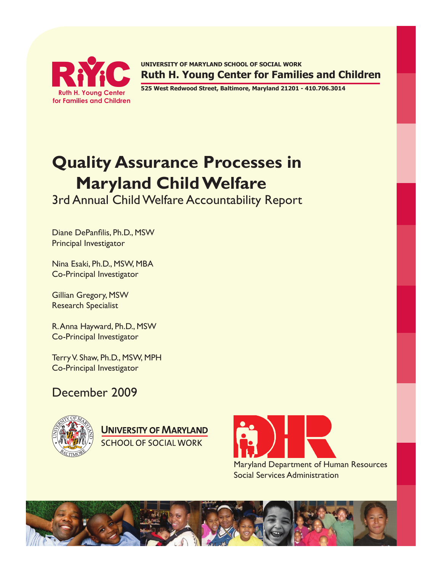

**RYC RUTHERSITY OF MARYLAND SCHOOL OF SOCIAL WORK**<br>RUTHER YOUNG Center S25 West Redwood Street, Baltimore, Maryland 21201 **Ruth H. Young Center for Families and Children**

**525 West Redwood Street, Baltimore, Maryland 21201 - 410.706.3014**

# **Quality Assurance Processes in Maryland Child Welfare**

3rd Annual Child Welfare Accountability Report

Diane DePanfilis, Ph.D., MSW Principal Investigator

Nina Esaki, Ph.D., MSW, MBA Co-Principal Investigator

Gillian Gregory, MSW Research Specialist

R. Anna Hayward, Ph.D., MSW Co-Principal Investigator

Terry V. Shaw, Ph.D., MSW, MPH Co-Principal Investigator

# December 2009



**UNIVERSITY OF MARYLAND** SCHOOL OF SOCIAL WORK



Social Services Administration

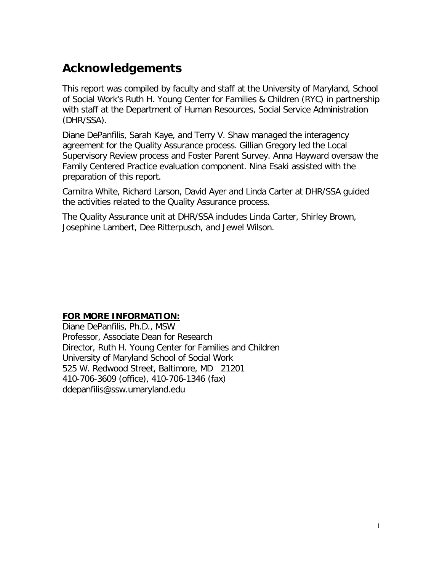# <span id="page-1-0"></span>**Acknowledgements**

This report was compiled by faculty and staff at the University of Maryland, School of Social Work's Ruth H. Young Center for Families & Children (RYC) in partnership with staff at the Department of Human Resources, Social Service Administration (DHR/SSA).

Diane DePanfilis, Sarah Kaye, and Terry V. Shaw managed the interagency agreement for the Quality Assurance process. Gillian Gregory led the Local Supervisory Review process and Foster Parent Survey. Anna Hayward oversaw the Family Centered Practice evaluation component. Nina Esaki assisted with the preparation of this report.

Carnitra White, Richard Larson, David Ayer and Linda Carter at DHR/SSA guided the activities related to the Quality Assurance process.

The Quality Assurance unit at DHR/SSA includes Linda Carter, Shirley Brown, Josephine Lambert, Dee Ritterpusch, and Jewel Wilson.

### **FOR MORE INFORMATION:**

Diane DePanfilis, Ph.D., MSW Professor, Associate Dean for Research Director, Ruth H. Young Center for Families and Children University of Maryland School of Social Work 525 W. Redwood Street, Baltimore, MD 21201 410-706-3609 (office), 410-706-1346 (fax) [ddepanfilis@ssw.umaryland.edu](mailto:ddepanfilis@ssw.umaryland.edu)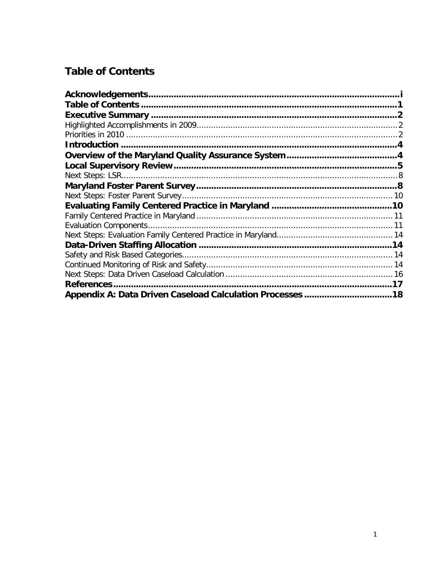### <span id="page-2-0"></span>**Table of Contents**

| <b>References</b> |  |
|-------------------|--|
|                   |  |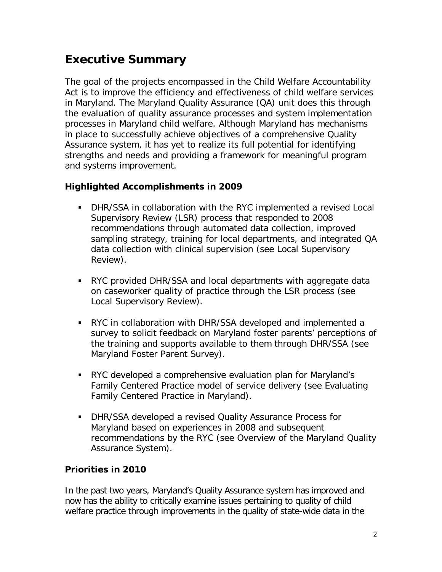### <span id="page-3-0"></span>**Executive Summary**

The goal of the projects encompassed in the Child Welfare Accountability Act is to improve the efficiency and effectiveness of child welfare services in Maryland. The Maryland Quality Assurance (QA) unit does this through the evaluation of quality assurance processes and system implementation processes in Maryland child welfare. Although Maryland has mechanisms in place to successfully achieve objectives of a comprehensive Quality Assurance system, it has yet to realize its full potential for identifying strengths and needs and providing a framework for meaningful program and systems improvement.

### <span id="page-3-1"></span>**Highlighted Accomplishments in 2009**

- DHR/SSA in collaboration with the RYC implemented a revised Local Supervisory Review (LSR) process that responded to 2008 recommendations through automated data collection, improved sampling strategy, training for local departments, and integrated QA data collection with clinical supervision (see [Local Supervisory](#page-6-0)  [Review\)](#page-6-0).
- RYC provided DHR/SSA and local departments with aggregate data on caseworker quality of practice through the LSR process (see [Local Supervisory Review\)](#page-6-0).
- RYC in collaboration with DHR/SSA developed and implemented a survey to solicit feedback on Maryland foster parents' perceptions of the training and supports available to them through DHR/SSA (see [Maryland Foster Parent Survey\)](#page-9-1).
- RYC developed a comprehensive evaluation plan for Maryland's Family Centered Practice model of service delivery (see [Evaluating](#page-11-1)  [Family Centered Practice in Maryland\)](#page-11-1).
- DHR/SSA developed a revised Quality Assurance Process for Maryland based on experiences in 2008 and subsequent recommendations by the RYC (see [Overview of the Maryland Quality](#page-5-1)  [Assurance System\)](#page-5-1).

### <span id="page-3-2"></span>**Priorities in 2010**

In the past two years, Maryland's Quality Assurance system has improved and now has the ability to critically examine issues pertaining to quality of child welfare practice through improvements in the quality of state-wide data in the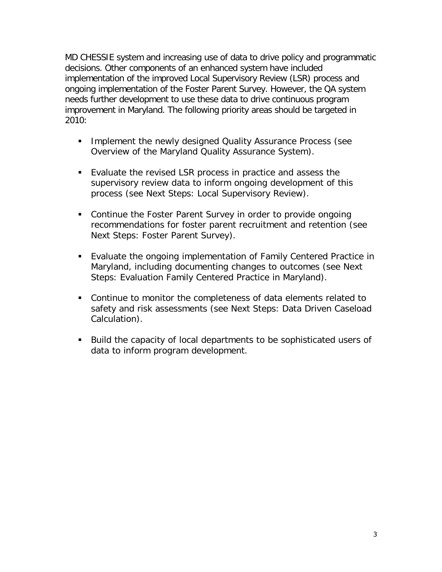MD CHESSIE system and increasing use of data to drive policy and programmatic decisions. Other components of an enhanced system have included implementation of the improved Local Supervisory Review (LSR) process and ongoing implementation of the Foster Parent Survey. However, the QA system needs further development to use these data to drive continuous program improvement in Maryland. The following priority areas should be targeted in 2010:

- **Implement the newly designed Quality Assurance Process (see** [Overview of the Maryland Quality Assurance System\)](#page-5-1).
- Evaluate the revised LSR process in practice and assess the supervisory review data to inform ongoing development of this process (see Next Steps: Local Supervisory Review).
- Continue the Foster Parent Survey in order to provide ongoing recommendations for foster parent recruitment and retention (see Next Steps: Foster Parent Survey).
- Evaluate the ongoing implementation of Family Centered Practice in Maryland, including documenting changes to outcomes (see Next Steps: Evaluation Family Centered Practice in Maryland).
- Continue to monitor the completeness of data elements related to safety and risk assessments (see Next Steps: Data Driven Caseload Calculation).
- Build the capacity of local departments to be sophisticated users of data to inform program development.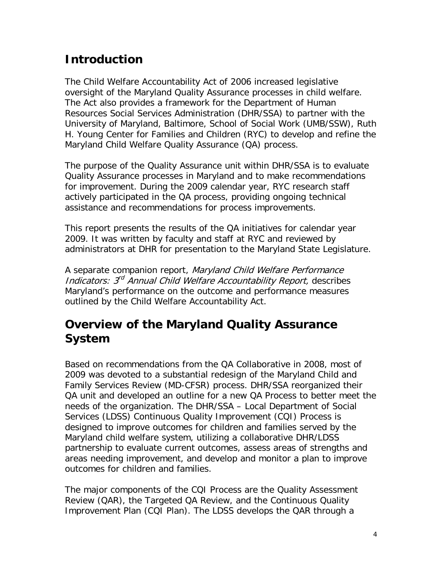### <span id="page-5-0"></span>**Introduction**

The Child Welfare Accountability Act of 2006 increased legislative oversight of the Maryland Quality Assurance processes in child welfare. The Act also provides a framework for the Department of Human Resources Social Services Administration (DHR/SSA) to partner with the University of Maryland, Baltimore, School of Social Work (UMB/SSW), Ruth H. Young Center for Families and Children (RYC) to develop and refine the Maryland Child Welfare Quality Assurance (QA) process.

The purpose of the Quality Assurance unit within DHR/SSA is to evaluate Quality Assurance processes in Maryland and to make recommendations for improvement. During the 2009 calendar year, RYC research staff actively participated in the QA process, providing ongoing technical assistance and recommendations for process improvements.

This report presents the results of the QA initiatives for calendar year 2009. It was written by faculty and staff at RYC and reviewed by administrators at DHR for presentation to the Maryland State Legislature.

A separate companion report, Maryland Child Welfare Performance Indicators: 3rd Annual Child Welfare Accountability Report, describes Maryland's performance on the outcome and performance measures outlined by the Child Welfare Accountability Act.

### <span id="page-5-1"></span>**Overview of the Maryland Quality Assurance System**

Based on recommendations from the QA Collaborative in 2008, most of 2009 was devoted to a substantial redesign of the Maryland Child and Family Services Review (MD-CFSR) process. DHR/SSA reorganized their QA unit and developed an outline for a new QA Process to better meet the needs of the organization. The DHR/SSA – Local Department of Social Services (LDSS) Continuous Quality Improvement (CQI) Process is designed to improve outcomes for children and families served by the Maryland child welfare system, utilizing a collaborative DHR/LDSS partnership to evaluate current outcomes, assess areas of strengths and areas needing improvement, and develop and monitor a plan to improve outcomes for children and families.

The major components of the CQI Process are the Quality Assessment Review (QAR), the Targeted QA Review, and the Continuous Quality Improvement Plan (CQI Plan). The LDSS develops the QAR through a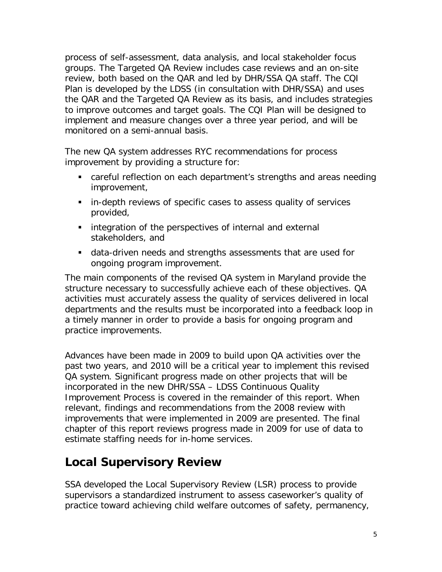process of self-assessment, data analysis, and local stakeholder focus groups. The Targeted QA Review includes case reviews and an on-site review, both based on the QAR and led by DHR/SSA QA staff. The CQI Plan is developed by the LDSS (in consultation with DHR/SSA) and uses the QAR and the Targeted QA Review as its basis, and includes strategies to improve outcomes and target goals. The CQI Plan will be designed to implement and measure changes over a three year period, and will be monitored on a semi-annual basis.

The new QA system addresses RYC recommendations for process improvement by providing a structure for:

- careful reflection on each department's strengths and areas needing improvement,
- **in-depth reviews of specific cases to assess quality of services** provided,
- **EXTERGEDEE Integration of the perspectives of internal and external** stakeholders, and
- data-driven needs and strengths assessments that are used for ongoing program improvement.

The main components of the revised QA system in Maryland provide the structure necessary to successfully achieve each of these objectives. QA activities must accurately assess the quality of services delivered in local departments and the results must be incorporated into a feedback loop in a timely manner in order to provide a basis for ongoing program and practice improvements.

Advances have been made in 2009 to build upon QA activities over the past two years, and 2010 will be a critical year to implement this revised QA system. Significant progress made on other projects that will be incorporated in the new DHR/SSA – LDSS Continuous Quality Improvement Process is covered in the remainder of this report. When relevant, findings and recommendations from the 2008 review with improvements that were implemented in 2009 are presented. The final chapter of this report reviews progress made in 2009 for use of data to estimate staffing needs for in-home services.

# <span id="page-6-0"></span>**Local Supervisory Review**

SSA developed the Local Supervisory Review (LSR) process to provide supervisors a standardized instrument to assess caseworker's quality of practice toward achieving child welfare outcomes of safety, permanency,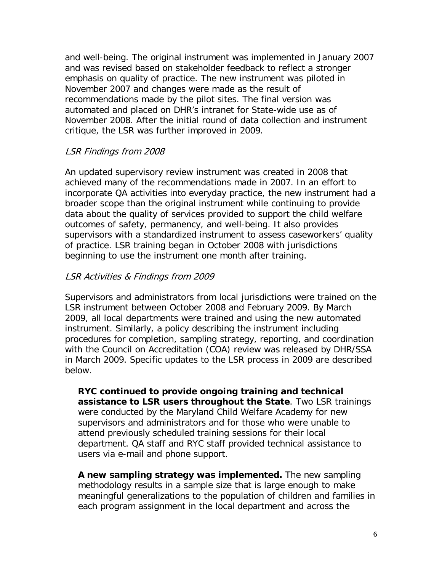and well-being. The original instrument was implemented in January 2007 and was revised based on stakeholder feedback to reflect a stronger emphasis on quality of practice. The new instrument was piloted in November 2007 and changes were made as the result of recommendations made by the pilot sites. The final version was automated and placed on DHR's intranet for State-wide use as of November 2008. After the initial round of data collection and instrument critique, the LSR was further improved in 2009.

#### LSR Findings from 2008

An updated supervisory review instrument was created in 2008 that achieved many of the recommendations made in 2007. In an effort to incorporate QA activities into everyday practice, the new instrument had a broader scope than the original instrument while continuing to provide data about the quality of services provided to support the child welfare outcomes of safety, permanency, and well-being. It also provides supervisors with a standardized instrument to assess caseworkers' quality of practice. LSR training began in October 2008 with jurisdictions beginning to use the instrument one month after training.

#### LSR Activities & Findings from 2009

Supervisors and administrators from local jurisdictions were trained on the LSR instrument between October 2008 and February 2009. By March 2009, all local departments were trained and using the new automated instrument. Similarly, a policy describing the instrument including procedures for completion, sampling strategy, reporting, and coordination with the Council on Accreditation (COA) review was released by DHR/SSA in March 2009. Specific updates to the LSR process in 2009 are described below.

**RYC continued to provide ongoing training and technical assistance to LSR users throughout the State**. Two LSR trainings were conducted by the Maryland Child Welfare Academy for new supervisors and administrators and for those who were unable to attend previously scheduled training sessions for their local department. QA staff and RYC staff provided technical assistance to users via e-mail and phone support.

**A new sampling strategy was implemented.** The new sampling methodology results in a sample size that is large enough to make meaningful generalizations to the population of children and families in each program assignment in the local department and across the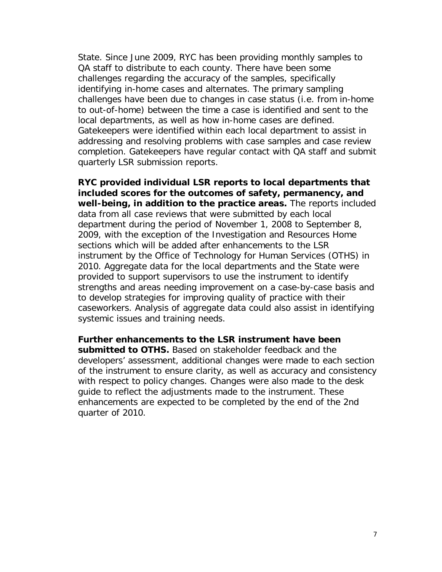State. Since June 2009, RYC has been providing monthly samples to QA staff to distribute to each county. There have been some challenges regarding the accuracy of the samples, specifically identifying in-home cases and alternates. The primary sampling challenges have been due to changes in case status (i.e. from in-home to out-of-home) between the time a case is identified and sent to the local departments, as well as how in-home cases are defined. Gatekeepers were identified within each local department to assist in addressing and resolving problems with case samples and case review completion. Gatekeepers have regular contact with QA staff and submit quarterly LSR submission reports.

**RYC provided individual LSR reports to local departments that included scores for the outcomes of safety, permanency, and well-being, in addition to the practice areas.** The reports included data from all case reviews that were submitted by each local department during the period of November 1, 2008 to September 8, 2009, with the exception of the Investigation and Resources Home sections which will be added after enhancements to the LSR instrument by the Office of Technology for Human Services (OTHS) in 2010. Aggregate data for the local departments and the State were provided to support supervisors to use the instrument to identify strengths and areas needing improvement on a case-by-case basis and to develop strategies for improving quality of practice with their caseworkers. Analysis of aggregate data could also assist in identifying systemic issues and training needs.

**Further enhancements to the LSR instrument have been submitted to OTHS.** Based on stakeholder feedback and the developers' assessment, additional changes were made to each section of the instrument to ensure clarity, as well as accuracy and consistency with respect to policy changes. Changes were also made to the desk guide to reflect the adjustments made to the instrument. These enhancements are expected to be completed by the end of the 2nd quarter of 2010.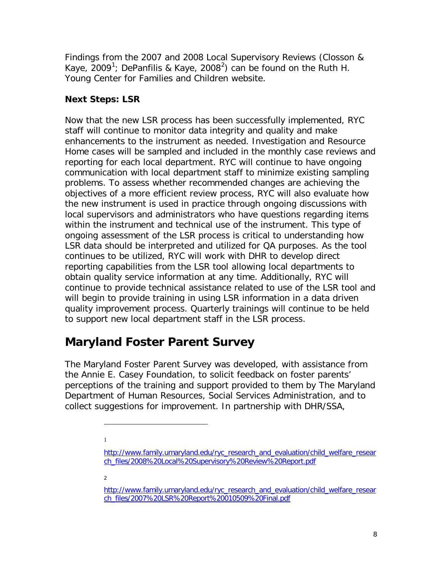Findings from the 2007 and 2008 Local Supervisory Reviews (Closson & Kaye, 2009<sup>[1](#page-9-2)</sup>; DePanfilis & Kaye, [2](#page-9-3)008<sup>2</sup>) can be found on the Ruth H. Young Center for Families and Children website.

### <span id="page-9-0"></span>**Next Steps: LSR**

Now that the new LSR process has been successfully implemented, RYC staff will continue to monitor data integrity and quality and make enhancements to the instrument as needed. Investigation and Resource Home cases will be sampled and included in the monthly case reviews and reporting for each local department. RYC will continue to have ongoing communication with local department staff to minimize existing sampling problems. To assess whether recommended changes are achieving the objectives of a more efficient review process, RYC will also evaluate how the new instrument is used in practice through ongoing discussions with local supervisors and administrators who have questions regarding items within the instrument and technical use of the instrument. This type of ongoing assessment of the LSR process is critical to understanding how LSR data should be interpreted and utilized for QA purposes. As the tool continues to be utilized, RYC will work with DHR to develop direct reporting capabilities from the LSR tool allowing local departments to obtain quality service information at any time. Additionally, RYC will continue to provide technical assistance related to use of the LSR tool and will begin to provide training in using LSR information in a data driven quality improvement process. Quarterly trainings will continue to be held to support new local department staff in the LSR process.

# <span id="page-9-1"></span>**Maryland Foster Parent Survey**

The Maryland Foster Parent Survey was developed, with assistance from the Annie E. Casey Foundation, to solicit feedback on foster parents' perceptions of the training and support provided to them by The Maryland Department of Human Resources, Social Services Administration, and to collect suggestions for improvement. In partnership with DHR/SSA,

1

j

2

<span id="page-9-2"></span>[http://www.family.umaryland.edu/ryc\\_research\\_and\\_evaluation/child\\_welfare\\_resear](http://www.family.umaryland.edu/ryc_research_and_evaluation/child_welfare_research_files/2008%20Local%20Supervisory%20Review%20Report.pdf) [ch\\_files/2008%20Local%20Supervisory%20Review%20Report.pdf](http://www.family.umaryland.edu/ryc_research_and_evaluation/child_welfare_research_files/2008%20Local%20Supervisory%20Review%20Report.pdf)

<span id="page-9-3"></span>[http://www.family.umaryland.edu/ryc\\_research\\_and\\_evaluation/child\\_welfare\\_resear](http://www.family.umaryland.edu/ryc_research_and_evaluation/child_welfare_research_files/2007%20LSR%20Report%20010509%20Final.pdf) [ch\\_files/2007%20LSR%20Report%20010509%20Final.pdf](http://www.family.umaryland.edu/ryc_research_and_evaluation/child_welfare_research_files/2007%20LSR%20Report%20010509%20Final.pdf)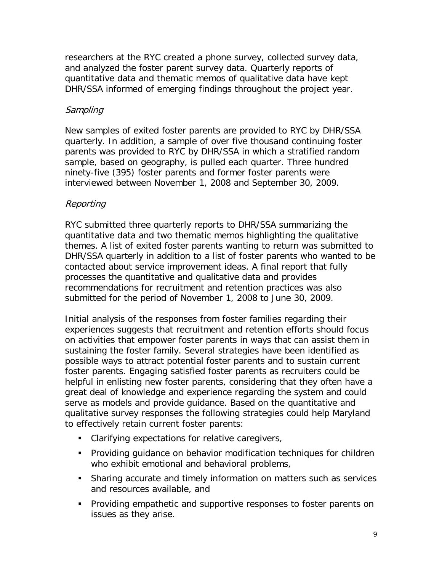researchers at the RYC created a phone survey, collected survey data, and analyzed the foster parent survey data. Quarterly reports of quantitative data and thematic memos of qualitative data have kept DHR/SSA informed of emerging findings throughout the project year.

#### Sampling

New samples of exited foster parents are provided to RYC by DHR/SSA quarterly. In addition, a sample of over five thousand continuing foster parents was provided to RYC by DHR/SSA in which a stratified random sample, based on geography, is pulled each quarter. Three hundred ninety-five (395) foster parents and former foster parents were interviewed between November 1, 2008 and September 30, 2009.

#### Reporting

RYC submitted three quarterly reports to DHR/SSA summarizing the quantitative data and two thematic memos highlighting the qualitative themes. A list of exited foster parents wanting to return was submitted to DHR/SSA quarterly in addition to a list of foster parents who wanted to be contacted about service improvement ideas. A final report that fully processes the quantitative and qualitative data and provides recommendations for recruitment and retention practices was also submitted for the period of November 1, 2008 to June 30, 2009.

Initial analysis of the responses from foster families regarding their experiences suggests that recruitment and retention efforts should focus on activities that empower foster parents in ways that can assist them in sustaining the foster family. Several strategies have been identified as possible ways to attract potential foster parents and to sustain current foster parents. Engaging satisfied foster parents as recruiters could be helpful in enlisting new foster parents, considering that they often have a great deal of knowledge and experience regarding the system and could serve as models and provide guidance. Based on the quantitative and qualitative survey responses the following strategies could help Maryland to effectively retain current foster parents:

- **Clarifying expectations for relative caregivers,**
- Providing guidance on behavior modification techniques for children who exhibit emotional and behavioral problems,
- Sharing accurate and timely information on matters such as services and resources available, and
- **Providing empathetic and supportive responses to foster parents on** issues as they arise.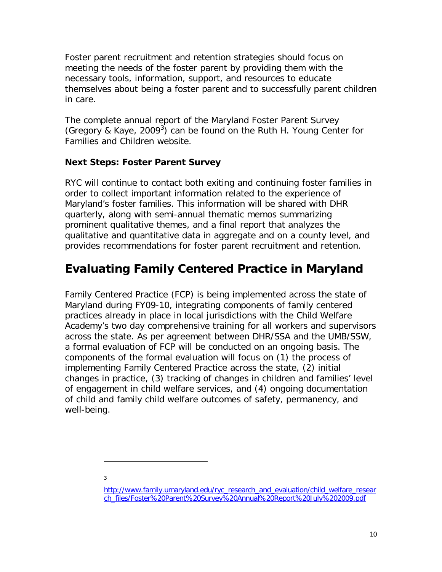Foster parent recruitment and retention strategies should focus on meeting the needs of the foster parent by providing them with the necessary tools, information, support, and resources to educate themselves about being a foster parent and to successfully parent children in care.

The complete annual report of the Maryland Foster Parent Survey (Gregory & Kaye, 2009 $3$ ) can be found on the Ruth H. Young Center for Families and Children website.

### <span id="page-11-0"></span>**Next Steps: Foster Parent Survey**

RYC will continue to contact both exiting and continuing foster families in order to collect important information related to the experience of Maryland's foster families. This information will be shared with DHR quarterly, along with semi-annual thematic memos summarizing prominent qualitative themes, and a final report that analyzes the qualitative and quantitative data in aggregate and on a county level, and provides recommendations for foster parent recruitment and retention.

# <span id="page-11-1"></span>**Evaluating Family Centered Practice in Maryland**

Family Centered Practice (FCP) is being implemented across the state of Maryland during FY09-10, integrating components of family centered practices already in place in local jurisdictions with the Child Welfare Academy's two day comprehensive training for all workers and supervisors across the state. As per agreement between DHR/SSA and the UMB/SSW, a formal evaluation of FCP will be conducted on an ongoing basis. The components of the formal evaluation will focus on (1) the process of implementing Family Centered Practice across the state, (2) initial changes in practice, (3) tracking of changes in children and families' level of engagement in child welfare services, and (4) ongoing documentation of child and family child welfare outcomes of safety, permanency, and well-being.

3

<span id="page-11-2"></span> $\overline{a}$ 

<span id="page-11-3"></span>[http://www.family.umaryland.edu/ryc\\_research\\_and\\_evaluation/child\\_welfare\\_resear](http://www.family.umaryland.edu/ryc_research_and_evaluation/child_welfare_research_files/Foster%20Parent%20Survey%20Annual%20Report%20July%202009.pdf) [ch\\_files/Foster%20Parent%20Survey%20Annual%20Report%20July%202009.pdf](http://www.family.umaryland.edu/ryc_research_and_evaluation/child_welfare_research_files/Foster%20Parent%20Survey%20Annual%20Report%20July%202009.pdf)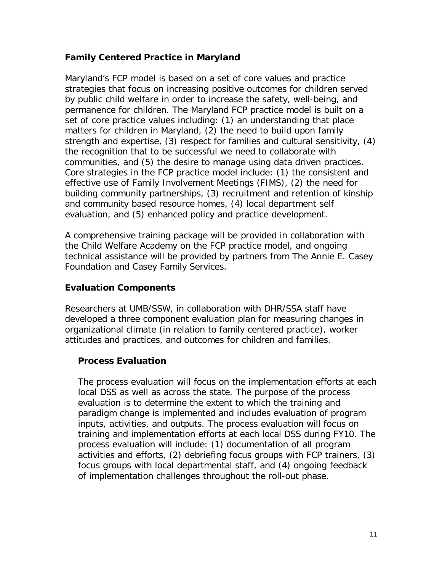#### **Family Centered Practice in Maryland**

Maryland's FCP model is based on a set of core values and practice strategies that focus on increasing positive outcomes for children served by public child welfare in order to increase the safety, well-being, and permanence for children. The Maryland FCP practice model is built on a set of core practice values including: (1) an understanding that place matters for children in Maryland, (2) the need to build upon family strength and expertise, (3) respect for families and cultural sensitivity, (4) the recognition that to be successful we need to collaborate with communities, and (5) the desire to manage using data driven practices. Core strategies in the FCP practice model include: (1) the consistent and effective use of Family Involvement Meetings (FIMS), (2) the need for building community partnerships, (3) recruitment and retention of kinship and community based resource homes, (4) local department self evaluation, and (5) enhanced policy and practice development.

A comprehensive training package will be provided in collaboration with the Child Welfare Academy on the FCP practice model, and ongoing technical assistance will be provided by partners from The Annie E. Casey Foundation and Casey Family Services.

#### <span id="page-12-0"></span>**Evaluation Components**

Researchers at UMB/SSW, in collaboration with DHR/SSA staff have developed a three component evaluation plan for measuring changes in organizational climate (in relation to family centered practice), worker attitudes and practices, and outcomes for children and families.

#### **Process Evaluation**

The process evaluation will focus on the implementation efforts at each local DSS as well as across the state. The purpose of the process evaluation is to determine the extent to which the training and paradigm change is implemented and includes evaluation of program inputs, activities, and outputs. The process evaluation will focus on training and implementation efforts at each local DSS during FY10. The process evaluation will include: (1) documentation of all program activities and efforts, (2) debriefing focus groups with FCP trainers, (3) focus groups with local departmental staff, and (4) ongoing feedback of implementation challenges throughout the roll-out phase.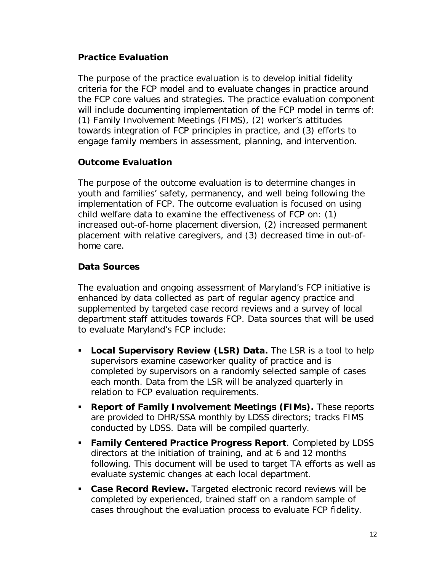#### **Practice Evaluation**

The purpose of the practice evaluation is to develop initial fidelity criteria for the FCP model and to evaluate changes in practice around the FCP core values and strategies. The practice evaluation component will include documenting implementation of the FCP model in terms of: (1) Family Involvement Meetings (FIMS), (2) worker's attitudes towards integration of FCP principles in practice, and (3) efforts to engage family members in assessment, planning, and intervention.

### **Outcome Evaluation**

The purpose of the outcome evaluation is to determine changes in youth and families' safety, permanency, and well being following the implementation of FCP. The outcome evaluation is focused on using child welfare data to examine the effectiveness of FCP on: (1) increased out-of-home placement diversion, (2) increased permanent placement with relative caregivers, and (3) decreased time in out-ofhome care.

#### **Data Sources**

The evaluation and ongoing assessment of Maryland's FCP initiative is enhanced by data collected as part of regular agency practice and supplemented by targeted case record reviews and a survey of local department staff attitudes towards FCP. Data sources that will be used to evaluate Maryland's FCP include:

- **Local Supervisory Review (LSR) Data.** The LSR is a tool to help supervisors examine caseworker quality of practice and is completed by supervisors on a randomly selected sample of cases each month. Data from the LSR will be analyzed quarterly in relation to FCP evaluation requirements.
- **Report of Family Involvement Meetings (FIMs).** These reports are provided to DHR/SSA monthly by LDSS directors; tracks FIMS conducted by LDSS. Data will be compiled quarterly.
- **Family Centered Practice Progress Report**. Completed by LDSS directors at the initiation of training, and at 6 and 12 months following. This document will be used to target TA efforts as well as evaluate systemic changes at each local department.
- **Case Record Review.** Targeted electronic record reviews will be completed by experienced, trained staff on a random sample of cases throughout the evaluation process to evaluate FCP fidelity.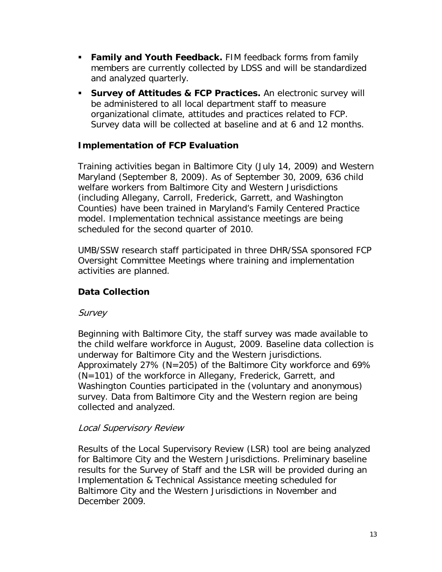- **Family and Youth Feedback.** FIM feedback forms from family members are currently collected by LDSS and will be standardized and analyzed quarterly.
- **Survey of Attitudes & FCP Practices.** An electronic survey will be administered to all local department staff to measure organizational climate, attitudes and practices related to FCP. Survey data will be collected at baseline and at 6 and 12 months.

### **Implementation of FCP Evaluation**

Training activities began in Baltimore City (July 14, 2009) and Western Maryland (September 8, 2009). As of September 30, 2009, 636 child welfare workers from Baltimore City and Western Jurisdictions (including Allegany, Carroll, Frederick, Garrett, and Washington Counties) have been trained in Maryland's Family Centered Practice model. Implementation technical assistance meetings are being scheduled for the second quarter of 2010.

UMB/SSW research staff participated in three DHR/SSA sponsored FCP Oversight Committee Meetings where training and implementation activities are planned.

### **Data Collection**

### Survey

Beginning with Baltimore City, the staff survey was made available to the child welfare workforce in August, 2009. Baseline data collection is underway for Baltimore City and the Western jurisdictions. Approximately 27% (N=205) of the Baltimore City workforce and 69% (N=101) of the workforce in Allegany, Frederick, Garrett, and Washington Counties participated in the (voluntary and anonymous) survey. Data from Baltimore City and the Western region are being collected and analyzed.

#### Local Supervisory Review

Results of the Local Supervisory Review (LSR) tool are being analyzed for Baltimore City and the Western Jurisdictions. Preliminary baseline results for the Survey of Staff and the LSR will be provided during an Implementation & Technical Assistance meeting scheduled for Baltimore City and the Western Jurisdictions in November and December 2009.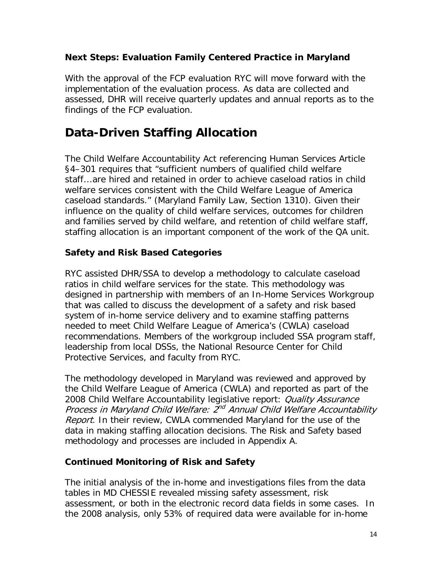#### <span id="page-15-0"></span>**Next Steps: Evaluation Family Centered Practice in Maryland**

With the approval of the FCP evaluation RYC will move forward with the implementation of the evaluation process. As data are collected and assessed, DHR will receive quarterly updates and annual reports as to the findings of the FCP evaluation.

### <span id="page-15-1"></span>**Data-Driven Staffing Allocation**

The Child Welfare Accountability Act referencing Human Services Article §4–301 requires that "sufficient numbers of qualified child welfare staff...are hired and retained in order to achieve caseload ratios in child welfare services consistent with the Child Welfare League of America caseload standards." (Maryland Family Law, Section 1310). Given their influence on the quality of child welfare services, outcomes for children and families served by child welfare, and retention of child welfare staff, staffing allocation is an important component of the work of the QA unit.

### <span id="page-15-2"></span>**Safety and Risk Based Categories**

RYC assisted DHR/SSA to develop a methodology to calculate caseload ratios in child welfare services for the state. This methodology was designed in partnership with members of an In-Home Services Workgroup that was called to discuss the development of a safety and risk based system of in-home service delivery and to examine staffing patterns needed to meet Child Welfare League of America's (CWLA) caseload recommendations. Members of the workgroup included SSA program staff, leadership from local DSSs, the National Resource Center for Child Protective Services, and faculty from RYC.

The methodology developed in Maryland was reviewed and approved by the Child Welfare League of America (CWLA) and reported as part of the 2008 Child Welfare Accountability legislative report: Quality Assurance Process in Maryland Child Welfare:  $2^{nd}$  Annual Child Welfare Accountability Report. In their review, CWLA commended Maryland for the use of the data in making staffing allocation decisions. The Risk and Safety based methodology and processes are included in Appendix A.

### <span id="page-15-3"></span>**Continued Monitoring of Risk and Safety**

The initial analysis of the in-home and investigations files from the data tables in MD CHESSIE revealed missing safety assessment, risk assessment, or both in the electronic record data fields in some cases. In the 2008 analysis, only 53% of required data were available for in-home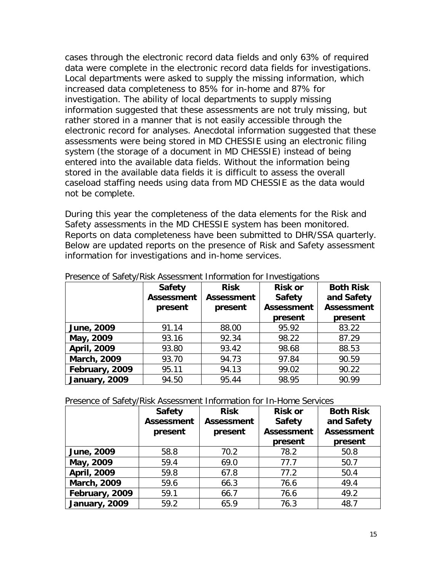cases through the electronic record data fields and only 63% of required data were complete in the electronic record data fields for investigations. Local departments were asked to supply the missing information, which increased data completeness to 85% for in-home and 87% for investigation. The ability of local departments to supply missing information suggested that these assessments are not truly missing, but rather stored in a manner that is not easily accessible through the electronic record for analyses. Anecdotal information suggested that these assessments were being stored in MD CHESSIE using an electronic filing system (the storage of a document in MD CHESSIE) instead of being entered into the available data fields. Without the information being stored in the available data fields it is difficult to assess the overall caseload staffing needs using data from MD CHESSIE as the data would not be complete.

During this year the completeness of the data elements for the Risk and Safety assessments in the MD CHESSIE system has been monitored. Reports on data completeness have been submitted to DHR/SSA quarterly. Below are updated reports on the presence of Risk and Safety assessment information for investigations and in-home services.

|                    | <b>Safety</b><br><b>Assessment</b><br>present | <b>Risk</b><br><b>Assessment</b><br>present | <b>Risk or</b><br><b>Safety</b><br><b>Assessment</b><br>present | <b>Both Risk</b><br>and Safety<br><b>Assessment</b><br>present |
|--------------------|-----------------------------------------------|---------------------------------------------|-----------------------------------------------------------------|----------------------------------------------------------------|
| June, 2009         | 91.14                                         | 88.00                                       | 95.92                                                           | 83.22                                                          |
| May, 2009          | 93.16                                         | 92.34                                       | 98.22                                                           | 87.29                                                          |
| <b>April, 2009</b> | 93.80                                         | 93.42                                       | 98.68                                                           | 88.53                                                          |
| March, 2009        | 93.70                                         | 94.73                                       | 97.84                                                           | 90.59                                                          |
| February, 2009     | 95.11                                         | 94.13                                       | 99.02                                                           | 90.22                                                          |
| January, 2009      | 94.50                                         | 95.44                                       | 98.95                                                           | 90.99                                                          |

#### Presence of Safety/Risk Assessment Information for Investigations

Presence of Safety/Risk Assessment Information for In-Home Services

|                    | <b>Safety</b><br><b>Assessment</b> | <b>Risk</b><br><b>Assessment</b> | <b>Risk or</b><br><b>Safety</b> | <b>Both Risk</b><br>and Safety |
|--------------------|------------------------------------|----------------------------------|---------------------------------|--------------------------------|
|                    | present                            | present                          | <b>Assessment</b>               | <b>Assessment</b>              |
|                    |                                    |                                  | present                         | present                        |
| June, 2009         | 58.8                               | 70.2                             | 78.2                            | 50.8                           |
| May, 2009          | 59.4                               | 69.0                             | 77.7                            | 50.7                           |
| <b>April, 2009</b> | 59.8                               | 67.8                             | 77.2                            | 50.4                           |
| <b>March, 2009</b> | 59.6                               | 66.3                             | 76.6                            | 49.4                           |
| February, 2009     | 59.1                               | 66.7                             | 76.6                            | 49.2                           |
| January, 2009      | 59.2                               | 65.9                             | 76.3                            | 48.7                           |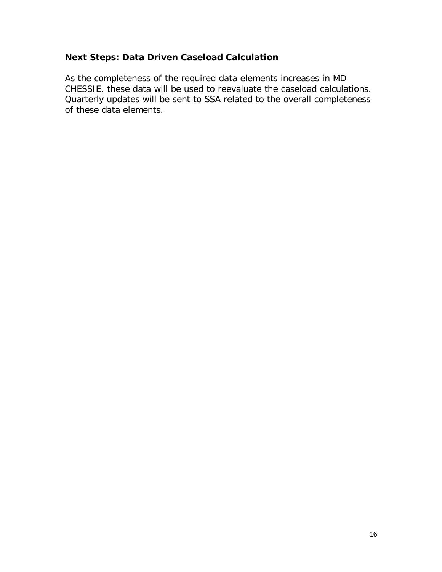### <span id="page-17-0"></span>**Next Steps: Data Driven Caseload Calculation**

As the completeness of the required data elements increases in MD CHESSIE, these data will be used to reevaluate the caseload calculations. Quarterly updates will be sent to SSA related to the overall completeness of these data elements.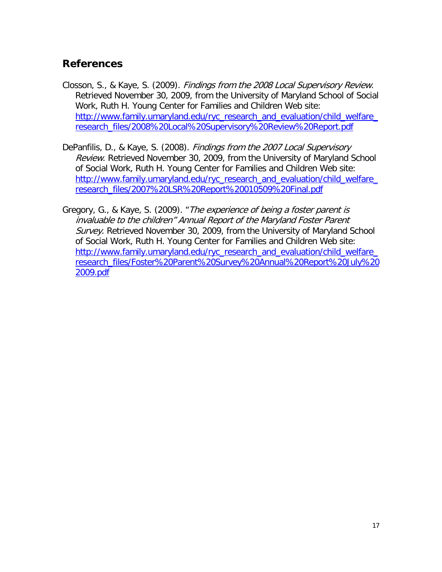### <span id="page-18-0"></span>**References**

- Closson, S., & Kaye, S. (2009). Findings from the 2008 Local Supervisory Review. Retrieved November 30, 2009, from the University of Maryland School of Social Work, Ruth H. Young Center for Families and Children Web site: [http://www.family.umaryland.edu/ryc\\_research\\_and\\_evaluation/child\\_welfare\\_](http://www.family.umaryland.edu/ryc_research_and_evaluation/child_welfare_research_files/2008%20Local%20Supervisory%20Review%20Report.pdf) [research\\_files/2008%20Local%20Supervisory%20Review%20Report.pdf](http://www.family.umaryland.edu/ryc_research_and_evaluation/child_welfare_research_files/2008%20Local%20Supervisory%20Review%20Report.pdf)
- DePanfilis, D., & Kaye, S. (2008). Findings from the 2007 Local Supervisory Review. Retrieved November 30, 2009, from the University of Maryland School of Social Work, Ruth H. Young Center for Families and Children Web site: http://www.family.umaryland.edu/ryc\_research\_and\_evaluation/child\_welfare [research\\_files/2007%20LSR%20Report%20010509%20Final.pdf](http://www.family.umaryland.edu/ryc_research_and_evaluation/child_welfare_research_files/2007%20LSR%20Report%20010509%20Final.pdf)
- Gregory, G., & Kaye, S. (2009). "The experience of being a foster parent is invaluable to the children" Annual Report of the Maryland Foster Parent Survey. Retrieved November 30, 2009, from the University of Maryland School of Social Work, Ruth H. Young Center for Families and Children Web site: http://www.family.umaryland.edu/ryc\_research\_and\_evaluation/child\_welfare [research\\_files/Foster%20Parent%20Survey%20Annual%20Report%20July%20](http://www.family.umaryland.edu/ryc_research_and_evaluation/child_welfare_research_files/Foster%20Parent%20Survey%20Annual%20Report%20July%202009.pdf) [2009.pdf](http://www.family.umaryland.edu/ryc_research_and_evaluation/child_welfare_research_files/Foster%20Parent%20Survey%20Annual%20Report%20July%202009.pdf)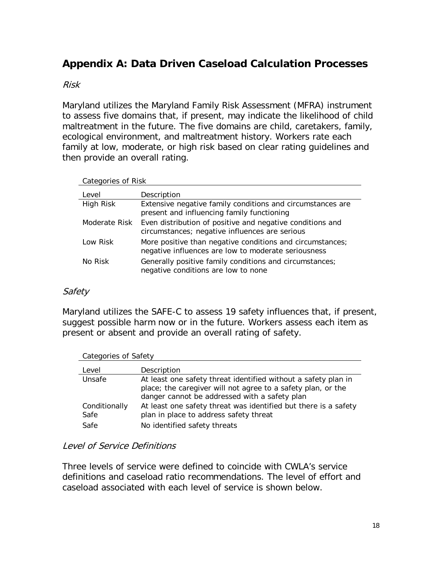### <span id="page-19-0"></span>**Appendix A: Data Driven Caseload Calculation Processes**

#### Risk

Maryland utilizes the Maryland Family Risk Assessment (MFRA) instrument to assess five domains that, if present, may indicate the likelihood of child maltreatment in the future. The five domains are child, caretakers, family, ecological environment, and maltreatment history. Workers rate each family at low, moderate, or high risk based on clear rating guidelines and then provide an overall rating.

Categories of Risk

| Level         | Description                                                                                                      |
|---------------|------------------------------------------------------------------------------------------------------------------|
| High Risk     | Extensive negative family conditions and circumstances are<br>present and influencing family functioning         |
| Moderate Risk | Even distribution of positive and negative conditions and<br>circumstances; negative influences are serious      |
| Low Risk      | More positive than negative conditions and circumstances;<br>negative influences are low to moderate seriousness |
| No Risk       | Generally positive family conditions and circumstances;<br>negative conditions are low to none                   |

#### Safety

Maryland utilizes the SAFE-C to assess 19 safety influences that, if present, suggest possible harm now or in the future. Workers assess each item as present or absent and provide an overall rating of safety.

| Categories of Safety |                                                                 |  |  |
|----------------------|-----------------------------------------------------------------|--|--|
| Level                | Description                                                     |  |  |
| Unsafe               | At least one safety threat identified without a safety plan in  |  |  |
|                      | place; the caregiver will not agree to a safety plan, or the    |  |  |
|                      | danger cannot be addressed with a safety plan                   |  |  |
| Conditionally        | At least one safety threat was identified but there is a safety |  |  |
| Safe                 | plan in place to address safety threat                          |  |  |
| Safe                 | No identified safety threats                                    |  |  |

#### Level of Service Definitions

Three levels of service were defined to coincide with CWLA's service definitions and caseload ratio recommendations. The level of effort and caseload associated with each level of service is shown below.